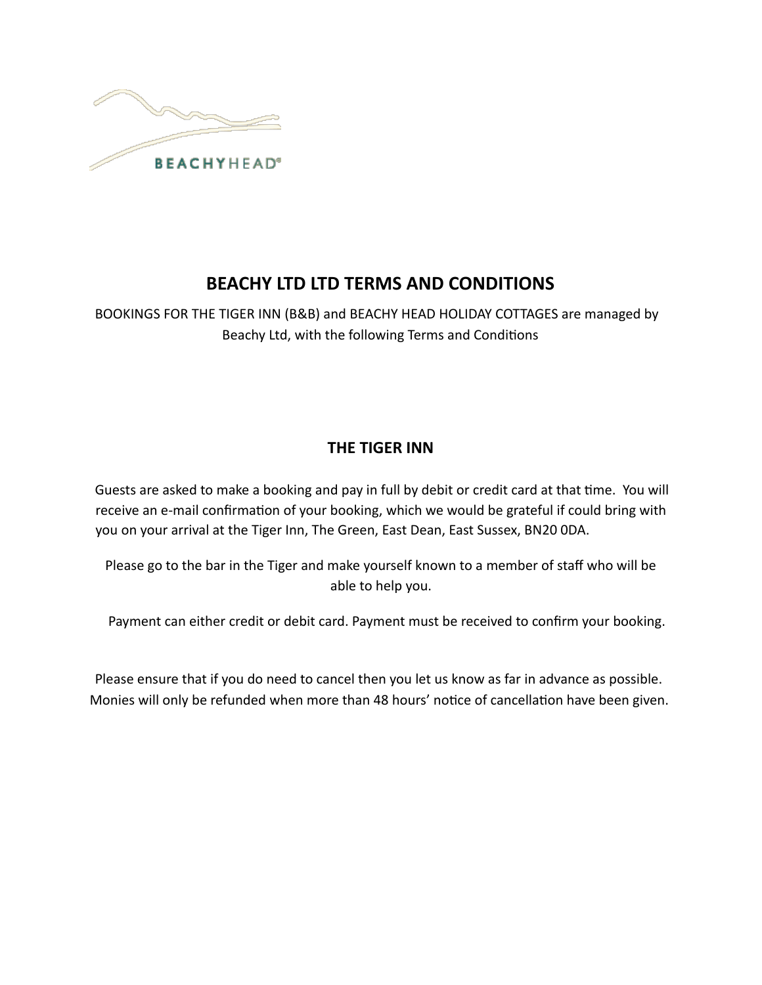

# **BEACHY LTD LTD TERMS AND CONDITIONS**

BOOKINGS FOR THE TIGER INN (B&B) and BEACHY HEAD HOLIDAY COTTAGES are managed by Beachy Ltd, with the following Terms and Conditions

## **THE TIGER INN**

Guests are asked to make a booking and pay in full by debit or credit card at that time. You will receive an e-mail confirmation of your booking, which we would be grateful if could bring with you on your arrival at the Tiger Inn, The Green, East Dean, East Sussex, BN20 0DA.

Please go to the bar in the Tiger and make yourself known to a member of staff who will be able to help you.

Payment can either credit or debit card. Payment must be received to confirm your booking.

Please ensure that if you do need to cancel then you let us know as far in advance as possible. Monies will only be refunded when more than 48 hours' notice of cancellation have been given.